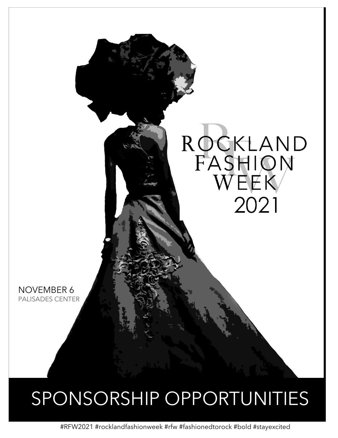

# SPONSORSHIP OPPORTUNITIES

#RFW2021 #rocklandfashionweek #rfw #fashionedtorock #bold #stayexcited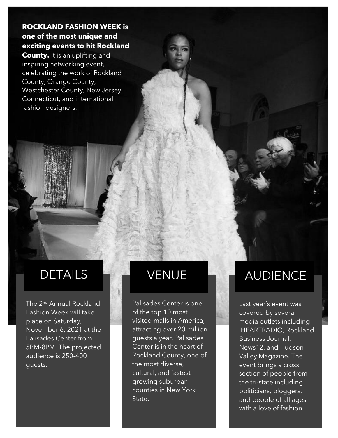#### **ROCKLAND FASHION WEEK is one of the most unique and exciting events to hit Rockland**

**County.** It is an uplifting and inspiring networking event, celebrating the work of Rockland County, Orange County, Westchester County, New Jersey, Connecticut, and international fashion designers.

The 2<sup>nd</sup> Annual Rockland Fashion Week will take place on Saturday, November 6, 2021 at the Palisades Center from 5PM-8PM. The projected audience is 250-400 guests.

Palisades Center is one of the top 10 most visited malls in America, attracting over 20 million guests a year. Palisades Center is in the heart of Rockland County, one of the most diverse, cultural, and fastest growing suburban counties in New York State.

## DETAILS VENUE AUDIENCE

Last year's event was covered by several media outlets including IHEARTRADIO, Rockland Business Journal, News12, and Hudson Valley Magazine. The event brings a cross section of people from the tri-state including politicians, bloggers, and people of all ages with a love of fashion.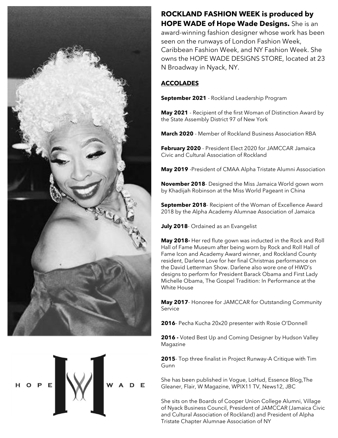



**ROCKLAND FASHION WEEK is produced by HOPE WADE of Hope Wade Designs.** She is an award-winning fashion designer whose work has been seen on the runways of London Fashion Week, Caribbean Fashion Week, and NY Fashion Week. She owns the HOPE WADE DESIGNS STORE, located at 23 N Broadway in Nyack, NY.

#### **ACCOLADES**

**September 2021** - Rockland Leadership Program

**May 2021** - Recipient of the first Woman of Distinction Award by the State Assembly District 97 of New York

**March 2020** - Member of Rockland Business Association RBA

**February 2020** - President Elect 2020 for JAMCCAR Jamaica Civic and Cultural Association of Rockland

**May 2019** -President of CMAA Alpha Tristate Alumni Association

**November 2018**- Designed the Miss Jamaica World gown worn by Khadijah Robinson at the Miss World Pageant in China

**September 2018**- Recipient of the Woman of Excellence Award 2018 by the Alpha Academy Alumnae Association of Jamaica

**July 2018**- Ordained as an Evangelist

**May 2018-** Her red flute gown was inducted in the Rock and Roll Hall of Fame Museum after being worn by Rock and Roll Hall of Fame Icon and Academy Award winner, and Rockland County resident, Darlene Love for her final Christmas performance on the David Letterman Show. Darlene also wore one of HWD's designs to perform for President Barack Obama and First Lady Michelle Obama, The Gospel Tradition: In Performance at the White House

**May 2017**- Honoree for JAMCCAR for Outstanding Community Service

**2016**- Pecha Kucha 20x20 presenter with Rosie O'Donnell

**2016 -** Voted Best Up and Coming Designer by Hudson Valley Magazine

**2015**- Top three finalist in Project Runway-A Critique with Tim **Gunn** 

She has been published in Vogue, LoHud, Essence Blog,The Gleaner, Flair, W Magazine, WPIX11 TV, News12, JBC

She sits on the Boards of Cooper Union College Alumni, Village of Nyack Business Council, President of JAMCCAR (Jamaica Civic and Cultural Association of Rockland) and President of Alpha Tristate Chapter Alumnae Association of NY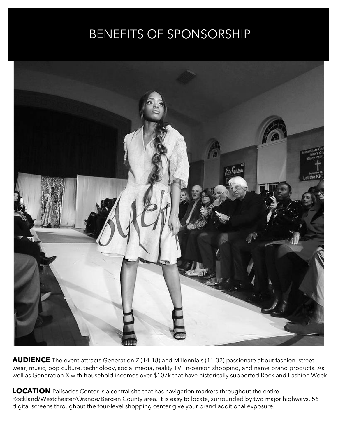## BENEFITS OF SPONSORSHIP



**AUDIENCE** The event attracts Generation Z (14-18) and Millennials (11-32) passionate about fashion, street wear, music, pop culture, technology, social media, reality TV, in-person shopping, and name brand products. As well as Generation X with household incomes over \$107k that have historically supported Rockland Fashion Week.

**LOCATION** Palisades Center is a central site that has navigation markers throughout the entire Rockland/Westchester/Orange/Bergen County area. It is easy to locate, surrounded by two major highways. 56 digital screens throughout the four-level shopping center give your brand additional exposure.